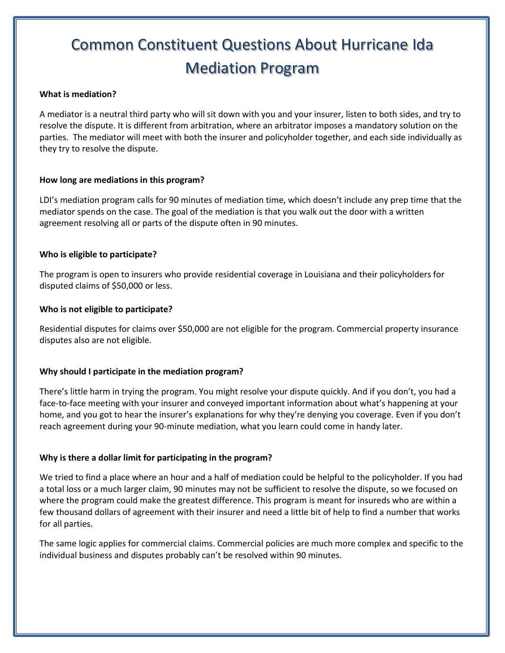# Common Constituent Questions About Hurricane Ida Mediation Program

#### **What is mediation?**

A mediator is a neutral third party who will sit down with you and your insurer, listen to both sides, and try to resolve the dispute. It is different from arbitration, where an arbitrator imposes a mandatory solution on the parties. The mediator will meet with both the insurer and policyholder together, and each side individually as they try to resolve the dispute.

#### **How long are mediations in this program?**

LDI's mediation program calls for 90 minutes of mediation time, which doesn't include any prep time that the mediator spends on the case. The goal of the mediation is that you walk out the door with a written agreement resolving all or parts of the dispute often in 90 minutes.

#### **Who is eligible to participate?**

The program is open to insurers who provide residential coverage in Louisiana and their policyholders for disputed claims of \$50,000 or less.

#### **Who is not eligible to participate?**

Residential disputes for claims over \$50,000 are not eligible for the program. Commercial property insurance disputes also are not eligible.

## **Why should I participate in the mediation program?**

There's little harm in trying the program. You might resolve your dispute quickly. And if you don't, you had a face-to-face meeting with your insurer and conveyed important information about what's happening at your home, and you got to hear the insurer's explanations for why they're denying you coverage. Even if you don't reach agreement during your 90-minute mediation, what you learn could come in handy later.

## **Why is there a dollar limit for participating in the program?**

We tried to find a place where an hour and a half of mediation could be helpful to the policyholder. If you had a total loss or a much larger claim, 90 minutes may not be sufficient to resolve the dispute, so we focused on where the program could make the greatest difference. This program is meant for insureds who are within a few thousand dollars of agreement with their insurer and need a little bit of help to find a number that works for all parties.

The same logic applies for commercial claims. Commercial policies are much more complex and specific to the individual business and disputes probably can't be resolved within 90 minutes.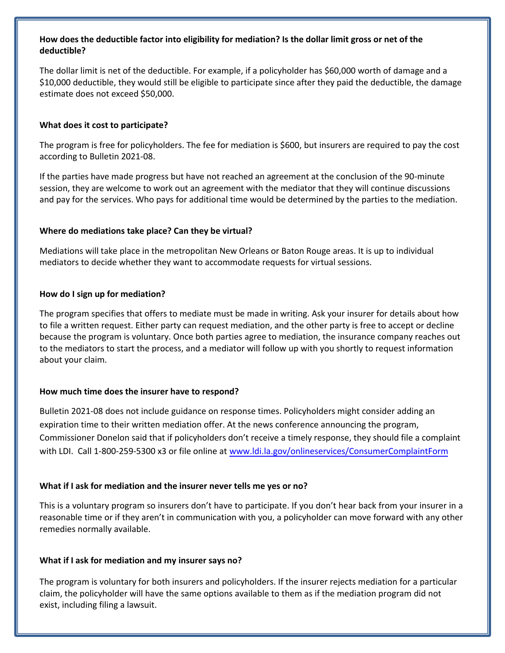## **How does the deductible factor into eligibility for mediation? Is the dollar limit gross or net of the deductible?**

The dollar limit is net of the deductible. For example, if a policyholder has \$60,000 worth of damage and a \$10,000 deductible, they would still be eligible to participate since after they paid the deductible, the damage estimate does not exceed \$50,000.

#### **What does it cost to participate?**

The program is free for policyholders. The fee for mediation is \$600, but insurers are required to pay the cost according to Bulletin 2021-08.

If the parties have made progress but have not reached an agreement at the conclusion of the 90-minute session, they are welcome to work out an agreement with the mediator that they will continue discussions and pay for the services. Who pays for additional time would be determined by the parties to the mediation.

#### **Where do mediations take place? Can they be virtual?**

Mediations will take place in the metropolitan New Orleans or Baton Rouge areas. It is up to individual mediators to decide whether they want to accommodate requests for virtual sessions.

#### **How do I sign up for mediation?**

The program specifies that offers to mediate must be made in writing. Ask your insurer for details about how to file a written request. Either party can request mediation, and the other party is free to accept or decline because the program is voluntary. Once both parties agree to mediation, the insurance company reaches out to the mediators to start the process, and a mediator will follow up with you shortly to request information about your claim.

#### **How much time does the insurer have to respond?**

Bulletin 2021-08 does not include guidance on response times. Policyholders might consider adding an expiration time to their written mediation offer. [At the news conference announcing the program,](http://www.ldi.la.gov/onlineservices/ConsumerComplaintForm)  Commissioner Donelon said that if policyholders don't receive a timely response, they should file a complaint with LDI. Call 1-800-259-5300 x3 or file online at www.ldi.la.gov/onlineservices/ConsumerComplaintForm

## **What if I ask for mediation and the insurer never tells me yes or no?**

This is a voluntary program so insurers don't have to participate. If you don't hear back from your insurer in a reasonable time or if they aren't in communication with you, a policyholder can move forward with any other remedies normally available.

## **What if I ask for mediation and my insurer says no?**

The program is voluntary for both insurers and policyholders. If the insurer rejects mediation for a particular claim, the policyholder will have the same options available to them as if the mediation program did not exist, including filing a lawsuit.